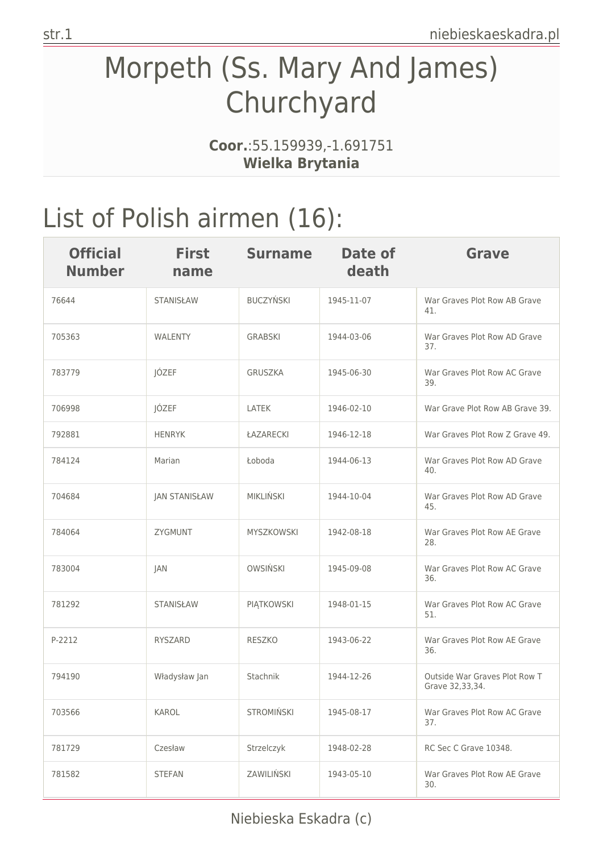## Morpeth (Ss. Mary And James) Churchyard

**Coor.**:55.159939,-1.691751 **Wielka Brytania**

## List of Polish airmen (16):

| <b>Official</b><br><b>Number</b> | <b>First</b><br>name | <b>Surname</b>    | Date of<br>death | Grave                                            |
|----------------------------------|----------------------|-------------------|------------------|--------------------------------------------------|
| 76644                            | <b>STANISŁAW</b>     | <b>BUCZYŃSKI</b>  | 1945-11-07       | War Graves Plot Row AB Grave<br>41.              |
| 705363                           | <b>WALENTY</b>       | <b>GRABSKI</b>    | 1944-03-06       | War Graves Plot Row AD Grave<br>37.              |
| 783779                           | JÓZEF                | <b>GRUSZKA</b>    | 1945-06-30       | War Graves Plot Row AC Grave<br>39.              |
| 706998                           | JÓZEF                | <b>LATEK</b>      | 1946-02-10       | War Grave Plot Row AB Grave 39.                  |
| 792881                           | <b>HENRYK</b>        | ŁAZARECKI         | 1946-12-18       | War Graves Plot Row Z Grave 49.                  |
| 784124                           | Marian               | Łoboda            | 1944-06-13       | War Graves Plot Row AD Grave<br>40.              |
| 704684                           | <b>JAN STANISŁAW</b> | <b>MIKLIŃSKI</b>  | 1944-10-04       | War Graves Plot Row AD Grave<br>45.              |
| 784064                           | ZYGMUNT              | MYSZKOWSKI        | 1942-08-18       | War Graves Plot Row AE Grave<br>28.              |
| 783004                           | JAN                  | <b>OWSIŃSKI</b>   | 1945-09-08       | War Graves Plot Row AC Grave<br>36.              |
| 781292                           | <b>STANISŁAW</b>     | PIĄTKOWSKI        | 1948-01-15       | War Graves Plot Row AC Grave<br>51.              |
| P-2212                           | RYSZARD              | RESZKO            | 1943-06-22       | War Graves Plot Row AE Grave<br>36.              |
| 794190                           | Władysław Jan        | Stachnik          | 1944-12-26       | Outside War Graves Plot Row T<br>Grave 32,33,34. |
| 703566                           | KAROL                | <b>STROMIŃSKI</b> | 1945-08-17       | War Graves Plot Row AC Grave<br>37.              |
| 781729                           | Czesław              | Strzelczyk        | 1948-02-28       | RC Sec C Grave 10348.                            |
| 781582                           | <b>STEFAN</b>        | ZAWILIŃSKI        | 1943-05-10       | War Graves Plot Row AE Grave<br>30.              |